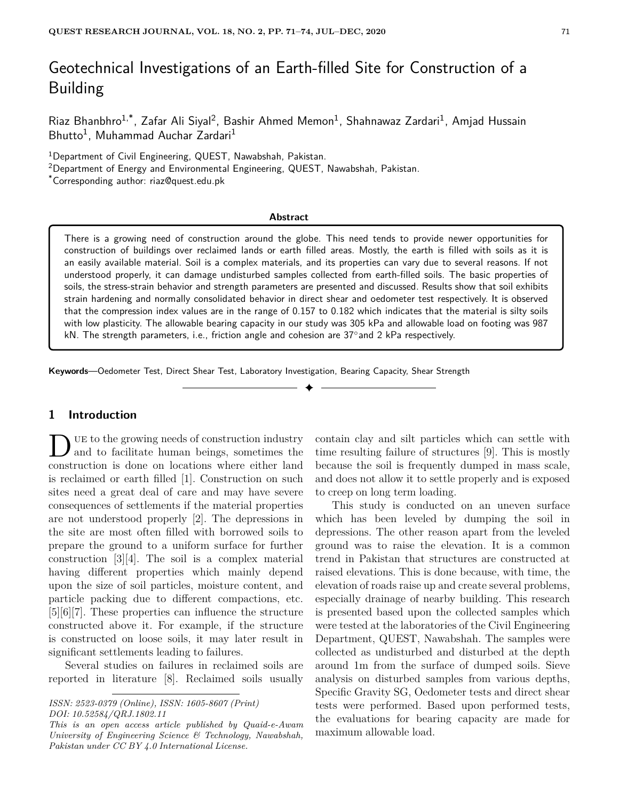# Geotechnical Investigations of an Earth-filled Site for Construction of a Building

Riaz Bhanbhro<sup>1,\*</sup>, Zafar Ali Siyal<sup>2</sup>, Bashir Ahmed Memon<sup>1</sup>, Shahnawaz Zardari<sup>1</sup>, Amjad Hussain Bhutto<sup>1</sup>, Muhammad Auchar Zardari<sup>1</sup>

<sup>1</sup>Department of Civil Engineering, QUEST, Nawabshah, Pakistan.

<sup>2</sup>Department of Energy and Environmental Engineering, QUEST, Nawabshah, Pakistan.

\*Corresponding author: riaz@quest.edu.pk

#### **Abstract**

There is a growing need of construction around the globe. This need tends to provide newer opportunities for construction of buildings over reclaimed lands or earth filled areas. Mostly, the earth is filled with soils as it is an easily available material. Soil is a complex materials, and its properties can vary due to several reasons. If not understood properly, it can damage undisturbed samples collected from earth-filled soils. The basic properties of soils, the stress-strain behavior and strength parameters are presented and discussed. Results show that soil exhibits strain hardening and normally consolidated behavior in direct shear and oedometer test respectively. It is observed that the compression index values are in the range of 0.157 to 0.182 which indicates that the material is silty soils with low plasticity. The allowable bearing capacity in our study was 305 kPa and allowable load on footing was 987 kN. The strength parameters, i.e., friction angle and cohesion are 37° and 2 kPa respectively.

✦

**Keywords**—Oedometer Test, Direct Shear Test, Laboratory Investigation, Bearing Capacity, Shear Strength

# **1 Introduction**

Due to the growing needs of construction industry<br>construction is done on locations where either land ue to the growing needs of construction industry and to facilitate human beings, sometimes the is reclaimed or earth filled [1]. Construction on such sites need a great deal of care and may have severe consequences of settlements if the material properties are not understood properly [2]. The depressions in the site are most often filled with borrowed soils to prepare the ground to a uniform surface for further construction [3][4]. The soil is a complex material having different properties which mainly depend upon the size of soil particles, moisture content, and particle packing due to different compactions, etc. [5][6][7]. These properties can influence the structure constructed above it. For example, if the structure is constructed on loose soils, it may later result in significant settlements leading to failures.

Several studies on failures in reclaimed soils are reported in literature [8]. Reclaimed soils usually contain clay and silt particles which can settle with time resulting failure of structures [9]. This is mostly because the soil is frequently dumped in mass scale, and does not allow it to settle properly and is exposed to creep on long term loading.

This study is conducted on an uneven surface which has been leveled by dumping the soil in depressions. The other reason apart from the leveled ground was to raise the elevation. It is a common trend in Pakistan that structures are constructed at raised elevations. This is done because, with time, the elevation of roads raise up and create several problems, especially drainage of nearby building. This research is presented based upon the collected samples which were tested at the laboratories of the Civil Engineering Department, QUEST, Nawabshah. The samples were collected as undisturbed and disturbed at the depth around 1m from the surface of dumped soils. Sieve analysis on disturbed samples from various depths, Specific Gravity SG, Oedometer tests and direct shear tests were performed. Based upon performed tests, the evaluations for bearing capacity are made for maximum allowable load.

*ISSN: 2523-0379 (Online), ISSN: 1605-8607 (Print) DOI: 10.52584/QRJ.1802.11*

*This is an open access article published by Quaid-e-Awam University of Engineering Science & Technology, Nawabshah, Pakistan under CC BY 4.0 International License.*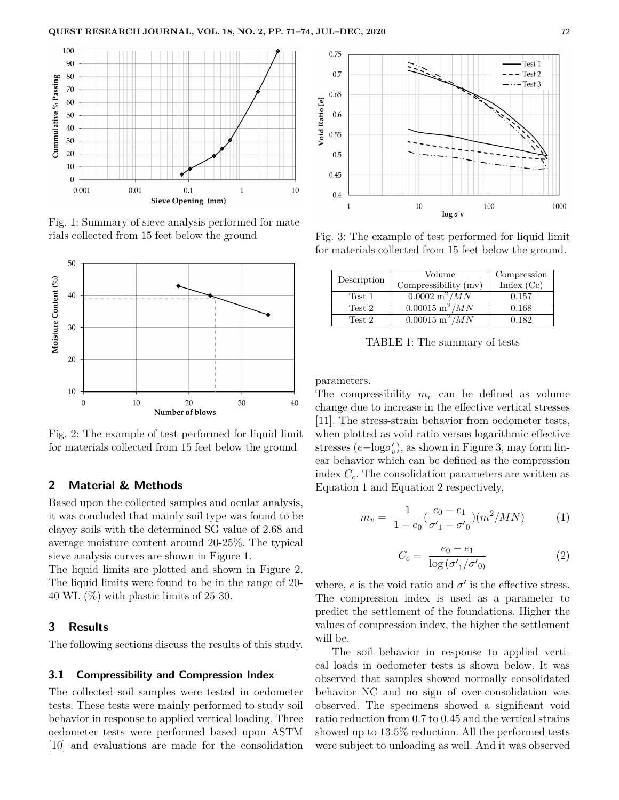

Fig. 1: Summary of sieve analysis performed for materials collected from 15 feet below the ground



Fig. 2: The example of test performed for liquid limit for materials collected from 15 feet below the ground

### **2 Material & Methods**

Based upon the collected samples and ocular analysis, it was concluded that mainly soil type was found to be clayey soils with the determined SG value of 2.68 and average moisture content around 20-25%. The typical sieve analysis curves are shown in Figure 1.

The liquid limits are plotted and shown in Figure 2. The liquid limits were found to be in the range of 20- 40 WL (%) with plastic limits of 25-30.

# **3 Results**

The following sections discuss the results of this study.

#### **3.1 Compressibility and Compression Index**

The collected soil samples were tested in oedometer tests. These tests were mainly performed to study soil behavior in response to applied vertical loading. Three oedometer tests were performed based upon ASTM [10] and evaluations are made for the consolidation



Fig. 3: The example of test performed for liquid limit for materials collected from 15 feet below the ground.

| Description | Volume                        | Compression  |
|-------------|-------------------------------|--------------|
|             | Compressibility (mv)          | Index $(Cc)$ |
| Test 1      | $0.0002 \,\mathrm{m}^2 / MN$  | 0.157        |
| Test 2      | $0.00015 \,\mathrm{m}^2 / MN$ | 0.168        |
| Test 2      | $0.00015 \,\mathrm{m}^2 / MN$ | 0.182        |

TABLE 1: The summary of tests

parameters.

The compressibility  $m_v$  can be defined as volume change due to increase in the effective vertical stresses [11]. The stress-strain behavior from oedometer tests, when plotted as void ratio versus logarithmic effective stresses  $(e - \log \sigma'_v)$ , as shown in Figure 3, may form linear behavior which can be defined as the compression index *Cc*. The consolidation parameters are written as Equation 1 and Equation 2 respectively,

$$
m_v = \frac{1}{1 + e_0} \left(\frac{e_0 - e_1}{\sigma'_1 - \sigma'_0}\right) (m^2 / MN) \tag{1}
$$

$$
C_c = \frac{e_0 - e_1}{\log(\sigma'_1/\sigma'_0)}
$$
 (2)

where,  $e$  is the void ratio and  $\sigma'$  is the effective stress. The compression index is used as a parameter to predict the settlement of the foundations. Higher the values of compression index, the higher the settlement will be.

The soil behavior in response to applied vertical loads in oedometer tests is shown below. It was observed that samples showed normally consolidated behavior NC and no sign of over-consolidation was observed. The specimens showed a significant void ratio reduction from 0.7 to 0.45 and the vertical strains showed up to 13.5% reduction. All the performed tests were subject to unloading as well. And it was observed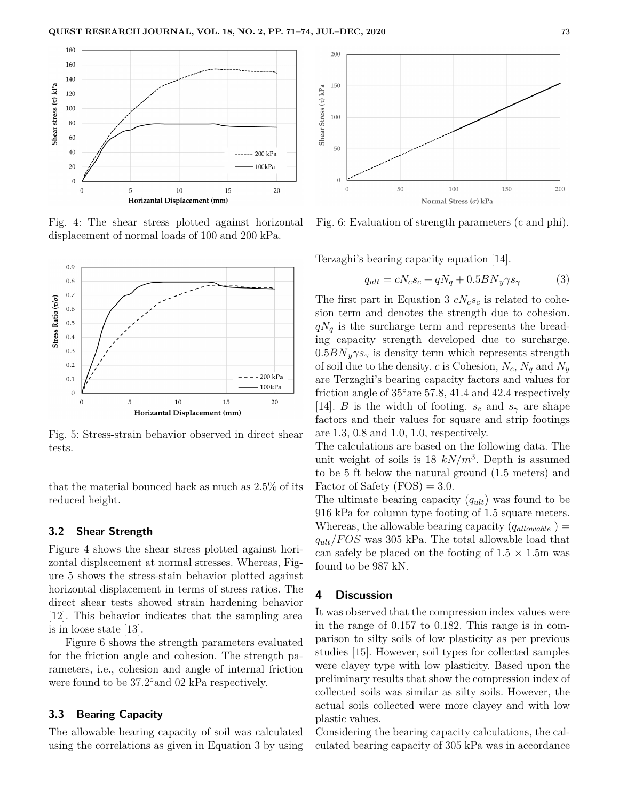

Fig. 4: The shear stress plotted against horizontal displacement of normal loads of 100 and 200 kPa.



Fig. 5: Stress-strain behavior observed in direct shear tests.

that the material bounced back as much as 2.5% of its reduced height.

#### **3.2 Shear Strength**

Figure 4 shows the shear stress plotted against horizontal displacement at normal stresses. Whereas, Figure 5 shows the stress-stain behavior plotted against horizontal displacement in terms of stress ratios. The direct shear tests showed strain hardening behavior [12]. This behavior indicates that the sampling area is in loose state [13].

Figure 6 shows the strength parameters evaluated for the friction angle and cohesion. The strength parameters, i.e., cohesion and angle of internal friction were found to be 37.2◦and 02 kPa respectively.

#### **3.3 Bearing Capacity**

The allowable bearing capacity of soil was calculated using the correlations as given in Equation 3 by using



Fig. 6: Evaluation of strength parameters (c and phi).

Terzaghi's bearing capacity equation [14].

$$
q_{ult} = cN_c s_c + qN_q + 0.5BN_y \gamma s_\gamma \tag{3}
$$

The first part in Equation 3  $cN_c s_c$  is related to cohesion term and denotes the strength due to cohesion.  $qN_q$  is the surcharge term and represents the breading capacity strength developed due to surcharge.  $0.5BN_y\gamma s_\gamma$  is density term which represents strength of soil due to the density. *c* is Cohesion,  $N_c$ ,  $N_q$  and  $N_q$ are Terzaghi's bearing capacity factors and values for friction angle of  $35^{\circ}$ are 57.8, 41.4 and 42.4 respectively [14]. *B* is the width of footing.  $s_c$  and  $s_\gamma$  are shape factors and their values for square and strip footings are 1.3, 0.8 and 1.0, 1.0, respectively.

The calculations are based on the following data. The unit weight of soils is 18 *kN/m*<sup>3</sup> . Depth is assumed to be 5 ft below the natural ground (1.5 meters) and Factor of Safety  $(FOS) = 3.0$ .

The ultimate bearing capacity  $(q_{ult})$  was found to be 916 kPa for column type footing of 1.5 square meters. Whereas, the allowable bearing capacity  $(q_{allowable}) =$  $q_{ult}/FOS$  was 305 kPa. The total allowable load that can safely be placed on the footing of  $1.5 \times 1.5$ m was found to be 987 kN.

# **4 Discussion**

It was observed that the compression index values were in the range of 0.157 to 0.182. This range is in comparison to silty soils of low plasticity as per previous studies [15]. However, soil types for collected samples were clayey type with low plasticity. Based upon the preliminary results that show the compression index of collected soils was similar as silty soils. However, the actual soils collected were more clayey and with low plastic values.

Considering the bearing capacity calculations, the calculated bearing capacity of 305 kPa was in accordance